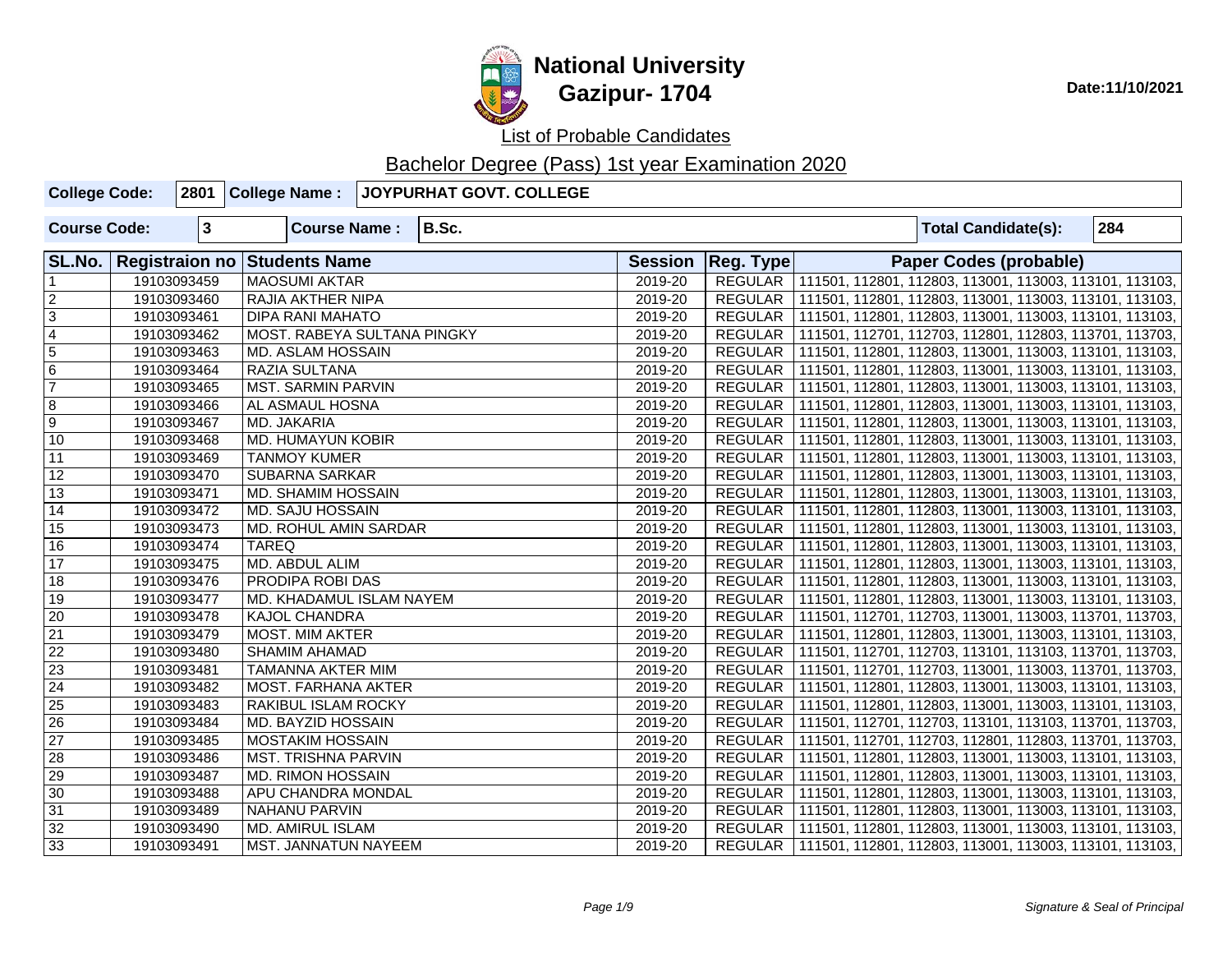

| <b>College Code:</b> |             | 2801 College Name:                  | JOYPURHAT GOVT. COLLEGE |         |                     |                                                                   |                               |     |
|----------------------|-------------|-------------------------------------|-------------------------|---------|---------------------|-------------------------------------------------------------------|-------------------------------|-----|
| <b>Course Code:</b>  | $\mathbf 3$ | <b>Course Name:</b>                 | B.Sc.                   |         |                     |                                                                   | <b>Total Candidate(s):</b>    | 284 |
| SL.No.               |             | <b>Registraion no Students Name</b> |                         |         | Session   Reg. Type |                                                                   | <b>Paper Codes (probable)</b> |     |
|                      | 19103093459 | <b>MAOSUMI AKTAR</b>                |                         | 2019-20 |                     | REGULAR   111501, 112801, 112803, 113001, 113003, 113101, 113103, |                               |     |
| $\overline{2}$       | 19103093460 | RAJIA AKTHER NIPA                   |                         | 2019-20 |                     | REGULAR   111501, 112801, 112803, 113001, 113003, 113101, 113103, |                               |     |
| $\overline{3}$       | 19103093461 | DIPA RANI MAHATO                    |                         | 2019-20 |                     | REGULAR   111501, 112801, 112803, 113001, 113003, 113101, 113103, |                               |     |
| $\overline{4}$       | 19103093462 | MOST. RABEYA SULTANA PINGKY         |                         | 2019-20 |                     | REGULAR   111501, 112701, 112703, 112801, 112803, 113701, 113703, |                               |     |
| $\overline{5}$       | 19103093463 | MD. ASLAM HOSSAIN                   |                         | 2019-20 |                     | REGULAR   111501, 112801, 112803, 113001, 113003, 113101, 113103, |                               |     |
| 6                    | 19103093464 | <b>RAZIA SULTANA</b>                |                         | 2019-20 |                     | REGULAR   111501, 112801, 112803, 113001, 113003, 113101, 113103, |                               |     |
| $\overline{7}$       | 19103093465 | <b>MST. SARMIN PARVIN</b>           |                         | 2019-20 |                     | REGULAR   111501, 112801, 112803, 113001, 113003, 113101, 113103, |                               |     |
| $\overline{8}$       | 19103093466 | AL ASMAUL HOSNA                     |                         | 2019-20 | REGULAR             | 111501, 112801, 112803, 113001, 113003, 113101, 113103,           |                               |     |
| $\overline{9}$       | 19103093467 | MD. JAKARIA                         |                         | 2019-20 |                     | REGULAR   111501, 112801, 112803, 113001, 113003, 113101, 113103, |                               |     |
| $\overline{10}$      | 19103093468 | MD. HUMAYUN KOBIR                   |                         | 2019-20 |                     | REGULAR   111501, 112801, 112803, 113001, 113003, 113101, 113103, |                               |     |
| $\overline{11}$      | 19103093469 | <b>TANMOY KUMER</b>                 |                         | 2019-20 |                     | REGULAR   111501, 112801, 112803, 113001, 113003, 113101, 113103, |                               |     |
| 12                   | 19103093470 | <b>SUBARNA SARKAR</b>               |                         | 2019-20 |                     | REGULAR   111501, 112801, 112803, 113001, 113003, 113101, 113103, |                               |     |
| $\overline{13}$      | 19103093471 | MD. SHAMIM HOSSAIN                  |                         | 2019-20 |                     | REGULAR   111501, 112801, 112803, 113001, 113003, 113101, 113103, |                               |     |
| 14                   | 19103093472 | <b>MD. SAJU HOSSAIN</b>             |                         | 2019-20 | REGULAR             | 111501, 112801, 112803, 113001, 113003, 113101, 113103,           |                               |     |
| $\overline{15}$      | 19103093473 | MD. ROHUL AMIN SARDAR               |                         | 2019-20 | REGULAR             | 111501, 112801, 112803, 113001, 113003, 113101, 113103,           |                               |     |
| 16                   | 19103093474 | <b>TAREQ</b>                        |                         | 2019-20 | <b>REGULAR</b>      | 111501, 112801, 112803, 113001, 113003, 113101, 113103,           |                               |     |
| $\overline{17}$      | 19103093475 | MD. ABDUL ALIM                      |                         | 2019-20 |                     | REGULAR   111501, 112801, 112803, 113001, 113003, 113101, 113103, |                               |     |
| $\overline{18}$      | 19103093476 | PRODIPA ROBI DAS                    |                         | 2019-20 |                     | REGULAR   111501, 112801, 112803, 113001, 113003, 113101, 113103, |                               |     |
| $\overline{19}$      | 19103093477 | MD. KHADAMUL ISLAM NAYEM            |                         | 2019-20 |                     | REGULAR   111501, 112801, 112803, 113001, 113003, 113101, 113103, |                               |     |
| $\overline{20}$      | 19103093478 | <b>KAJOL CHANDRA</b>                |                         | 2019-20 |                     | REGULAR   111501, 112701, 112703, 113001, 113003, 113701, 113703, |                               |     |
| $\overline{21}$      | 19103093479 | MOST. MIM AKTER                     |                         | 2019-20 | REGULAR             | 111501, 112801, 112803, 113001, 113003, 113101, 113103,           |                               |     |
| $\overline{22}$      | 19103093480 | <b>SHAMIM AHAMAD</b>                |                         | 2019-20 | <b>REGULAR</b>      | 111501, 112701, 112703, 113101, 113103, 113701, 113703,           |                               |     |
| 23                   | 19103093481 | TAMANNA AKTER MIM                   |                         | 2019-20 | REGULAR             | 111501, 112701, 112703, 113001, 113003, 113701, 113703,           |                               |     |
| 24                   | 19103093482 | MOST. FARHANA AKTER                 |                         | 2019-20 |                     | REGULAR   111501, 112801, 112803, 113001, 113003, 113101, 113103, |                               |     |
| $\overline{25}$      | 19103093483 | RAKIBUL ISLAM ROCKY                 |                         | 2019-20 | <b>REGULAR</b>      | 111501, 112801, 112803, 113001, 113003, 113101, 113103,           |                               |     |
| $\overline{26}$      | 19103093484 | MD. BAYZID HOSSAIN                  |                         | 2019-20 | <b>REGULAR</b>      | 111501, 112701, 112703, 113101, 113103, 113701, 113703,           |                               |     |
| $\overline{27}$      | 19103093485 | <b>MOSTAKIM HOSSAIN</b>             |                         | 2019-20 | REGULAR             | 111501, 112701, 112703, 112801, 112803, 113701, 113703,           |                               |     |
| 28                   | 19103093486 | MST. TRISHNA PARVIN                 |                         | 2019-20 |                     | REGULAR   111501, 112801, 112803, 113001, 113003, 113101, 113103, |                               |     |
| $\overline{29}$      | 19103093487 | <b>MD. RIMON HOSSAIN</b>            |                         | 2019-20 | <b>REGULAR</b>      | 111501, 112801, 112803, 113001, 113003, 113101, 113103,           |                               |     |
| $\overline{30}$      | 19103093488 | APU CHANDRA MONDAL                  |                         | 2019-20 | <b>REGULAR</b>      | 111501, 112801, 112803, 113001, 113003, 113101, 113103,           |                               |     |
| 31                   | 19103093489 | NAHANU PARVIN                       |                         | 2019-20 | <b>REGULAR</b>      | 111501, 112801, 112803, 113001, 113003, 113101, 113103,           |                               |     |
| 32                   | 19103093490 | <b>MD. AMIRUL ISLAM</b>             |                         | 2019-20 |                     | REGULAR   111501, 112801, 112803, 113001, 113003, 113101, 113103, |                               |     |
| 33                   | 19103093491 | MST. JANNATUN NAYEEM                |                         | 2019-20 |                     | REGULAR   111501, 112801, 112803, 113001, 113003, 113101, 113103, |                               |     |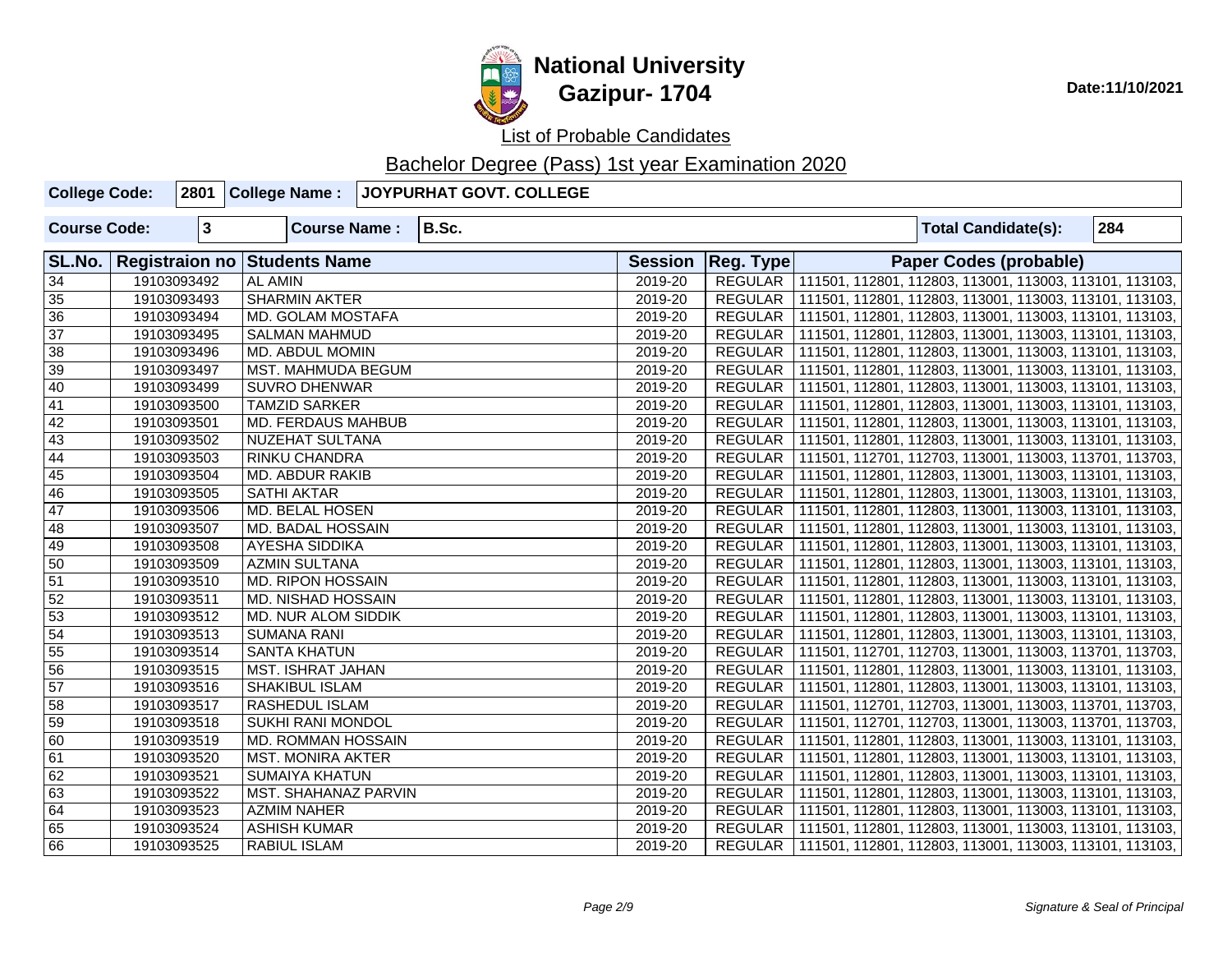

| <b>College Code:</b> | 2801         | College Name:                | JOYPURHAT GOVT. COLLEGE |                |                |                                                                   |     |
|----------------------|--------------|------------------------------|-------------------------|----------------|----------------|-------------------------------------------------------------------|-----|
| <b>Course Code:</b>  | $\mathbf{3}$ | <b>Course Name:</b>          | B.Sc.                   |                |                | <b>Total Candidate(s):</b>                                        | 284 |
| SL.No.               |              | Registraion no Students Name |                         | <b>Session</b> | Reg. Type      | <b>Paper Codes (probable)</b>                                     |     |
| $\overline{34}$      | 19103093492  | <b>AL AMIN</b>               |                         | 2019-20        |                | REGULAR   111501, 112801, 112803, 113001, 113003, 113101, 113103, |     |
| 35                   | 19103093493  | <b>SHARMIN AKTER</b>         |                         | 2019-20        |                | REGULAR   111501, 112801, 112803, 113001, 113003, 113101, 113103, |     |
| $\overline{36}$      | 19103093494  | MD. GOLAM MOSTAFA            |                         | 2019-20        |                | REGULAR   111501, 112801, 112803, 113001, 113003, 113101, 113103, |     |
| $\overline{37}$      | 19103093495  | <b>SALMAN MAHMUD</b>         |                         | 2019-20        |                | REGULAR   111501, 112801, 112803, 113001, 113003, 113101, 113103, |     |
| $\overline{38}$      | 19103093496  | MD. ABDUL MOMIN              |                         | 2019-20        |                | REGULAR   111501, 112801, 112803, 113001, 113003, 113101, 113103, |     |
| $\overline{39}$      | 19103093497  | MST. MAHMUDA BEGUM           |                         | 2019-20        |                | REGULAR   111501, 112801, 112803, 113001, 113003, 113101, 113103, |     |
| 40                   | 19103093499  | <b>SUVRO DHENWAR</b>         |                         | 2019-20        |                | REGULAR   111501, 112801, 112803, 113001, 113003, 113101, 113103, |     |
| $\overline{41}$      | 19103093500  | <b>TAMZID SARKER</b>         |                         | 2019-20        |                | REGULAR   111501, 112801, 112803, 113001, 113003, 113101, 113103, |     |
| $\overline{42}$      | 19103093501  | MD. FERDAUS MAHBUB           |                         | 2019-20        |                | REGULAR   111501, 112801, 112803, 113001, 113003, 113101, 113103, |     |
| 43                   | 19103093502  | NUZEHAT SULTANA              |                         | 2019-20        |                | REGULAR   111501, 112801, 112803, 113001, 113003, 113101, 113103, |     |
| 44                   | 19103093503  | RINKU CHANDRA                |                         | 2019-20        | REGULAR        | 111501, 112701, 112703, 113001, 113003, 113701, 113703,           |     |
| $\overline{45}$      | 19103093504  | MD. ABDUR RAKIB              |                         | 2019-20        | <b>REGULAR</b> | 111501, 112801, 112803, 113001, 113003, 113101, 113103,           |     |
| 46                   | 19103093505  | <b>SATHI AKTAR</b>           |                         | 2019-20        | REGULAR        | 111501, 112801, 112803, 113001, 113003, 113101, 113103,           |     |
| 47                   | 19103093506  | MD. BELAL HOSEN              |                         | 2019-20        | REGULAR        | 111501, 112801, 112803, 113001, 113003, 113101, 113103,           |     |
| 48                   | 19103093507  | MD. BADAL HOSSAIN            |                         | 2019-20        |                | REGULAR   111501, 112801, 112803, 113001, 113003, 113101, 113103, |     |
| 49                   | 19103093508  | AYESHA SIDDIKA               |                         | 2019-20        |                | REGULAR   111501, 112801, 112803, 113001, 113003, 113101, 113103, |     |
| 50                   | 19103093509  | <b>AZMIN SULTANA</b>         |                         | 2019-20        |                | REGULAR   111501, 112801, 112803, 113001, 113003, 113101, 113103, |     |
| $\overline{51}$      | 19103093510  | <b>MD. RIPON HOSSAIN</b>     |                         | 2019-20        | REGULAR        | 111501, 112801, 112803, 113001, 113003, 113101, 113103,           |     |
| 52                   | 19103093511  | MD. NISHAD HOSSAIN           |                         | 2019-20        | REGULAR        | 111501, 112801, 112803, 113001, 113003, 113101, 113103,           |     |
| 53                   | 19103093512  | MD. NUR ALOM SIDDIK          |                         | 2019-20        | REGULAR        | 111501, 112801, 112803, 113001, 113003, 113101, 113103,           |     |
| $\overline{54}$      | 19103093513  | <b>SUMANA RANI</b>           |                         | 2019-20        | REGULAR        | 111501, 112801, 112803, 113001, 113003, 113101, 113103,           |     |
| $\overline{55}$      | 19103093514  | <b>SANTA KHATUN</b>          |                         | 2019-20        |                | REGULAR   111501, 112701, 112703, 113001, 113003, 113701, 113703, |     |
| 56                   | 19103093515  | MST. ISHRAT JAHAN            |                         | 2019-20        | REGULAR        | 111501, 112801, 112803, 113001, 113003, 113101, 113103,           |     |
| 57                   | 19103093516  | SHAKIBUL ISLAM               |                         | 2019-20        |                | REGULAR   111501, 112801, 112803, 113001, 113003, 113101, 113103, |     |
| $\overline{58}$      | 19103093517  | RASHEDUL ISLAM               |                         | 2019-20        | REGULAR        | 111501, 112701, 112703, 113001, 113003, 113701, 113703,           |     |
| 59                   | 19103093518  | <b>SUKHI RANI MONDOL</b>     |                         | 2019-20        | REGULAR        | 111501, 112701, 112703, 113001, 113003, 113701, 113703,           |     |
| 60                   | 19103093519  | MD. ROMMAN HOSSAIN           |                         | 2019-20        |                | REGULAR   111501, 112801, 112803, 113001, 113003, 113101, 113103, |     |
| 61                   | 19103093520  | MST. MONIRA AKTER            |                         | 2019-20        |                | REGULAR   111501, 112801, 112803, 113001, 113003, 113101, 113103, |     |
| 62                   | 19103093521  | <b>SUMAIYA KHATUN</b>        |                         | 2019-20        | REGULAR        | 111501, 112801, 112803, 113001, 113003, 113101, 113103,           |     |
| 63                   | 19103093522  | MST. SHAHANAZ PARVIN         |                         | 2019-20        | REGULAR        | 111501, 112801, 112803, 113001, 113003, 113101, 113103,           |     |
| 64                   | 19103093523  | <b>AZMIM NAHER</b>           |                         | 2019-20        | REGULAR        | 111501, 112801, 112803, 113001, 113003, 113101, 113103,           |     |
| 65                   | 19103093524  | <b>ASHISH KUMAR</b>          |                         | 2019-20        |                | REGULAR   111501, 112801, 112803, 113001, 113003, 113101, 113103, |     |
| 66                   | 19103093525  | RABIUL ISLAM                 |                         | 2019-20        |                | REGULAR   111501, 112801, 112803, 113001, 113003, 113101, 113103, |     |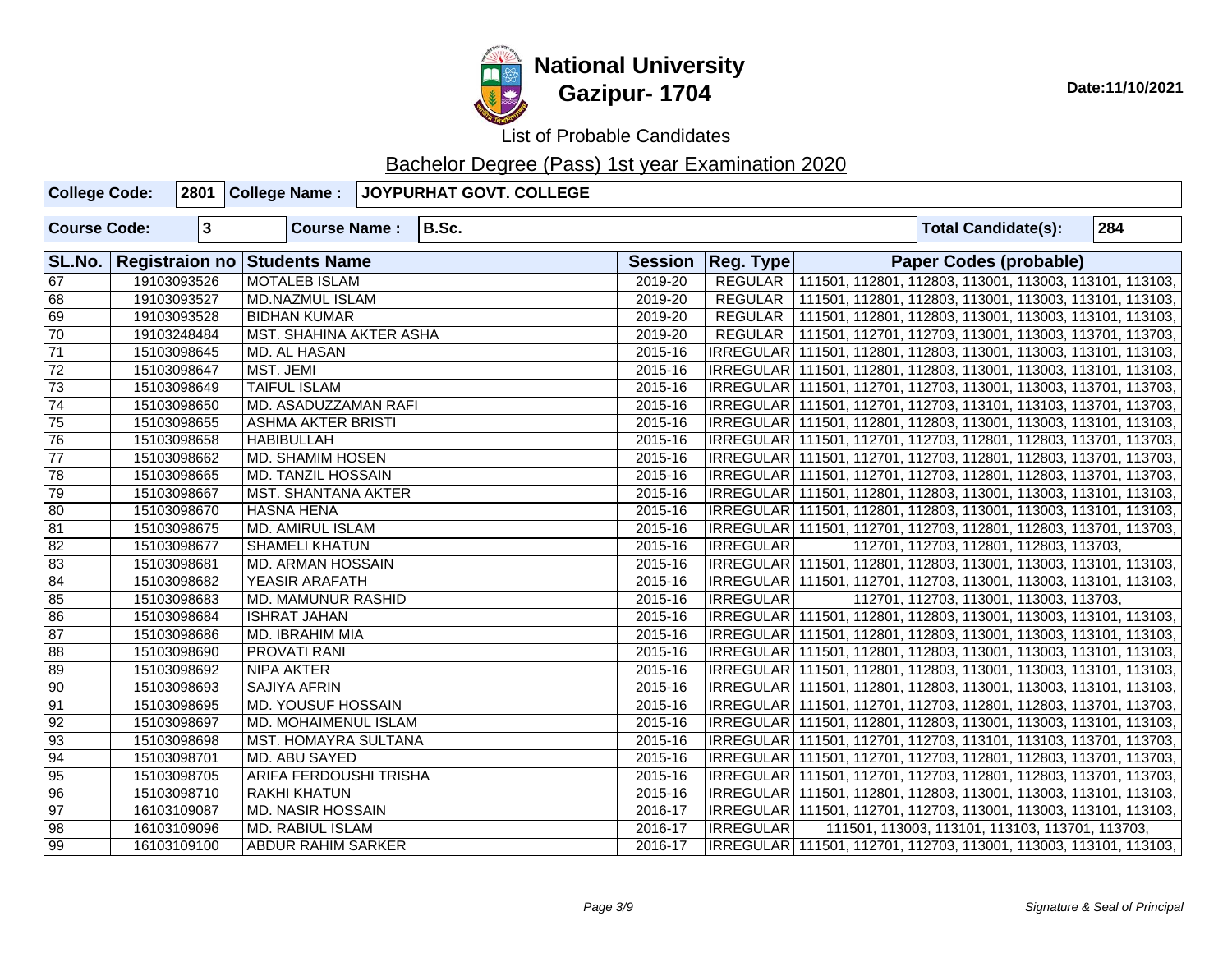

| <b>College Code:</b> |              | 2801 College Name:                  | JOYPURHAT GOVT. COLLEGE |         |                     |                                                                     |                                                 |     |
|----------------------|--------------|-------------------------------------|-------------------------|---------|---------------------|---------------------------------------------------------------------|-------------------------------------------------|-----|
| <b>Course Code:</b>  | $\mathbf{3}$ | <b>Course Name:</b>                 | B.Sc.                   |         |                     |                                                                     | <b>Total Candidate(s):</b>                      | 284 |
| SL.No.               |              | <b>Registraion no Students Name</b> |                         |         | Session   Reg. Type |                                                                     | Paper Codes (probable)                          |     |
| $\sqrt{67}$          | 19103093526  | <b>MOTALEB ISLAM</b>                |                         | 2019-20 |                     | REGULAR   111501, 112801, 112803, 113001, 113003, 113101, 113103,   |                                                 |     |
| 68                   | 19103093527  | <b>MD.NAZMUL ISLAM</b>              |                         | 2019-20 |                     | REGULAR   111501, 112801, 112803, 113001, 113003, 113101, 113103,   |                                                 |     |
| 69                   | 19103093528  | <b>BIDHAN KUMAR</b>                 |                         | 2019-20 |                     | REGULAR   111501, 112801, 112803, 113001, 113003, 113101, 113103,   |                                                 |     |
| 70                   | 19103248484  | <b>MST. SHAHINA AKTER ASHA</b>      |                         | 2019-20 |                     | REGULAR   111501, 112701, 112703, 113001, 113003, 113701, 113703,   |                                                 |     |
| $\overline{71}$      | 15103098645  | MD. AL HASAN                        |                         | 2015-16 |                     | IRREGULAR   111501, 112801, 112803, 113001, 113003, 113101, 113103, |                                                 |     |
| $\overline{72}$      | 15103098647  | MST. JEMI                           |                         | 2015-16 |                     | IRREGULAR   111501, 112801, 112803, 113001, 113003, 113101, 113103, |                                                 |     |
| 73                   | 15103098649  | <b>TAIFUL ISLAM</b>                 |                         | 2015-16 |                     | IRREGULAR   111501, 112701, 112703, 113001, 113003, 113701, 113703, |                                                 |     |
| $\sqrt{74}$          | 15103098650  | MD. ASADUZZAMAN RAFI                |                         | 2015-16 |                     | IRREGULAR   111501, 112701, 112703, 113101, 113103, 113701, 113703, |                                                 |     |
| 75                   | 15103098655  | <b>ASHMA AKTER BRISTI</b>           |                         | 2015-16 |                     | IRREGULAR   111501, 112801, 112803, 113001, 113003, 113101, 113103, |                                                 |     |
| 76                   | 15103098658  | <b>HABIBULLAH</b>                   |                         | 2015-16 |                     | IRREGULAR   111501, 112701, 112703, 112801, 112803, 113701, 113703, |                                                 |     |
| $\overline{77}$      | 15103098662  | <b>MD. SHAMIM HOSEN</b>             |                         | 2015-16 |                     | IRREGULAR   111501, 112701, 112703, 112801, 112803, 113701, 113703, |                                                 |     |
| 78                   | 15103098665  | <b>MD. TANZIL HOSSAIN</b>           |                         | 2015-16 |                     | IRREGULAR   111501, 112701, 112703, 112801, 112803, 113701, 113703, |                                                 |     |
| 79                   | 15103098667  | <b>MST. SHANTANA AKTER</b>          |                         | 2015-16 |                     | IRREGULAR   111501, 112801, 112803, 113001, 113003, 113101, 113103, |                                                 |     |
| 80                   | 15103098670  | <b>HASNA HENA</b>                   |                         | 2015-16 |                     | IRREGULAR   111501, 112801, 112803, 113001, 113003, 113101, 113103, |                                                 |     |
| 81                   | 15103098675  | <b>MD. AMIRUL ISLAM</b>             |                         | 2015-16 |                     | IRREGULAR   111501, 112701, 112703, 112801, 112803, 113701, 113703, |                                                 |     |
| $\sqrt{82}$          | 15103098677  | <b>SHAMELI KHATUN</b>               |                         | 2015-16 | IRREGULAR           |                                                                     | 112701, 112703, 112801, 112803, 113703,         |     |
| $\overline{83}$      | 15103098681  | MD. ARMAN HOSSAIN                   |                         | 2015-16 |                     | IRREGULAR 111501, 112801, 112803, 113001, 113003, 113101, 113103,   |                                                 |     |
| 84                   | 15103098682  | YEASIR ARAFATH                      |                         | 2015-16 |                     | IRREGULAR   111501, 112701, 112703, 113001, 113003, 113101, 113103, |                                                 |     |
| 85                   | 15103098683  | MD. MAMUNUR RASHID                  |                         | 2015-16 | <b>IRREGULAR</b>    |                                                                     | 112701, 112703, 113001, 113003, 113703,         |     |
| 86                   | 15103098684  | <b>ISHRAT JAHAN</b>                 |                         | 2015-16 |                     | IRREGULAR   111501, 112801, 112803, 113001, 113003, 113101, 113103, |                                                 |     |
| $\overline{87}$      | 15103098686  | MD. IBRAHIM MIA                     |                         | 2015-16 |                     | IRREGULAR   111501, 112801, 112803, 113001, 113003, 113101, 113103, |                                                 |     |
| 88                   | 15103098690  | PROVATI RANI                        |                         | 2015-16 |                     | IRREGULAR  111501, 112801, 112803, 113001, 113003, 113101, 113103,  |                                                 |     |
| 89                   | 15103098692  | NIPA AKTER                          |                         | 2015-16 |                     | IRREGULAR   111501, 112801, 112803, 113001, 113003, 113101, 113103, |                                                 |     |
| $\overline{90}$      | 15103098693  | SAJIYA AFRIN                        |                         | 2015-16 |                     | IRREGULAR   111501, 112801, 112803, 113001, 113003, 113101, 113103, |                                                 |     |
| $\overline{91}$      | 15103098695  | MD. YOUSUF HOSSAIN                  |                         | 2015-16 |                     | IRREGULAR   111501, 112701, 112703, 112801, 112803, 113701, 113703, |                                                 |     |
| $\overline{92}$      | 15103098697  | MD. MOHAIMENUL ISLAM                |                         | 2015-16 |                     | IRREGULAR   111501, 112801, 112803, 113001, 113003, 113101, 113103, |                                                 |     |
| $\overline{93}$      | 15103098698  | MST. HOMAYRA SULTANA                |                         | 2015-16 |                     | IRREGULAR   111501, 112701, 112703, 113101, 113103, 113701, 113703, |                                                 |     |
| 94                   | 15103098701  | MD. ABU SAYED                       |                         | 2015-16 |                     | IRREGULAR   111501, 112701, 112703, 112801, 112803, 113701, 113703, |                                                 |     |
| $\overline{95}$      | 15103098705  | ARIFA FERDOUSHI TRISHA              |                         | 2015-16 |                     | IRREGULAR   111501, 112701, 112703, 112801, 112803, 113701, 113703, |                                                 |     |
| $\overline{96}$      | 15103098710  | <b>RAKHI KHATUN</b>                 |                         | 2015-16 |                     | IRREGULAR   111501, 112801, 112803, 113001, 113003, 113101, 113103, |                                                 |     |
| $\overline{97}$      | 16103109087  | <b>MD. NASIR HOSSAIN</b>            |                         | 2016-17 |                     | IRREGULAR   111501, 112701, 112703, 113001, 113003, 113101, 113103, |                                                 |     |
| $\sqrt{98}$          | 16103109096  | <b>MD. RABIUL ISLAM</b>             |                         | 2016-17 | <b>IRREGULAR</b>    |                                                                     | 111501, 113003, 113101, 113103, 113701, 113703, |     |
| $\sqrt{99}$          | 16103109100  | <b>ABDUR RAHIM SARKER</b>           |                         | 2016-17 |                     | IRREGULAR   111501, 112701, 112703, 113001, 113003, 113101, 113103, |                                                 |     |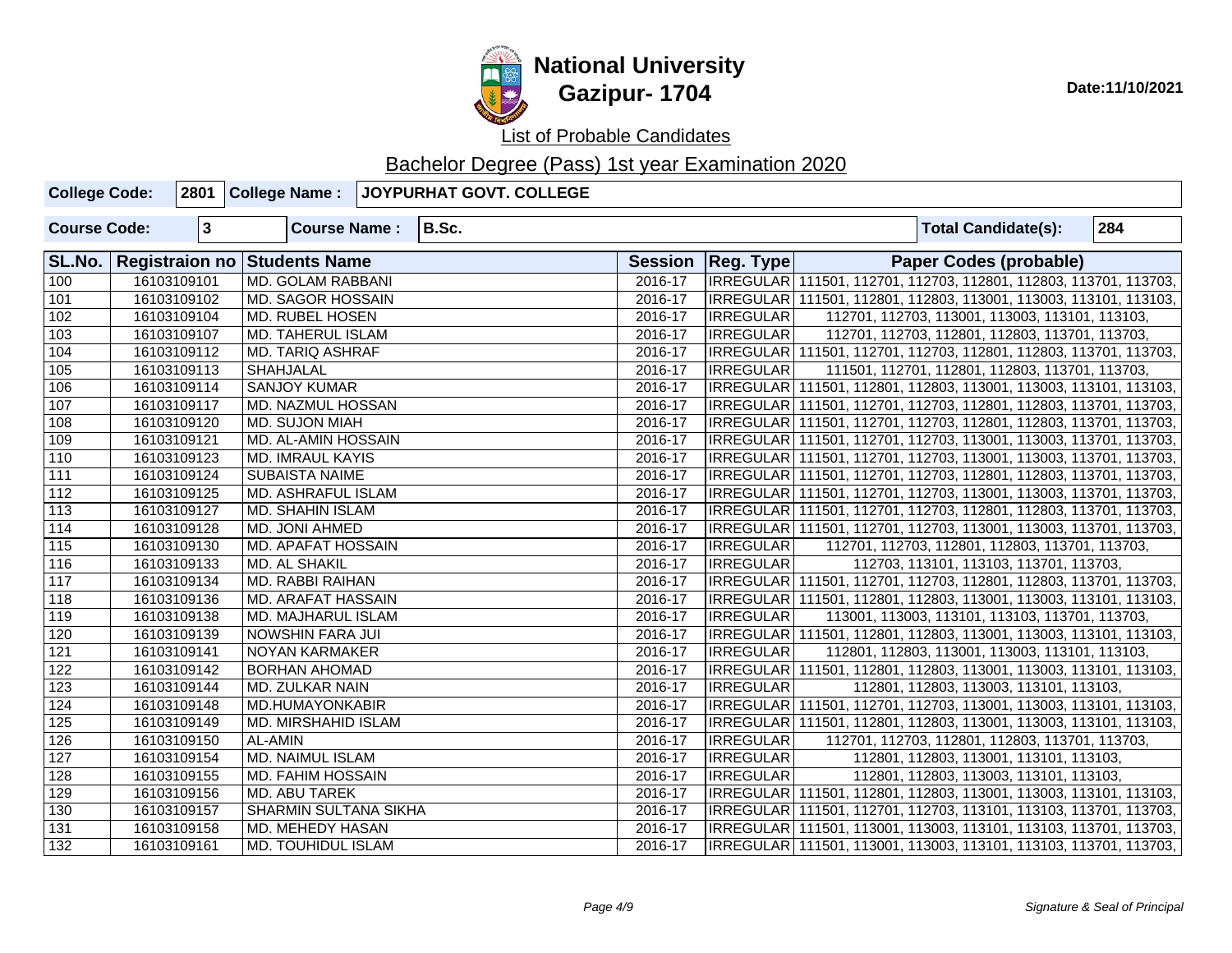

| <b>College Code:</b> |              | 2801 College Name:                  | JOYPURHAT GOVT. COLLEGE |         |                     |                                                                     |
|----------------------|--------------|-------------------------------------|-------------------------|---------|---------------------|---------------------------------------------------------------------|
| <b>Course Code:</b>  | $\mathbf{3}$ | <b>Course Name:</b>                 | B.Sc.                   |         |                     | 284<br><b>Total Candidate(s):</b>                                   |
| SL.No.               |              | <b>Registraion no Students Name</b> |                         |         | Session   Reg. Type | <b>Paper Codes (probable)</b>                                       |
| 100                  | 16103109101  | <b>MD. GOLAM RABBANI</b>            |                         | 2016-17 |                     | IRREGULAR 111501, 112701, 112703, 112801, 112803, 113701, 113703,   |
| 101                  | 16103109102  | MD. SAGOR HOSSAIN                   |                         | 2016-17 |                     | IRREGULAR 111501, 112801, 112803, 113001, 113003, 113101, 113103,   |
| 102                  | 16103109104  | <b>MD. RUBEL HOSEN</b>              |                         | 2016-17 | <b>IRREGULAR</b>    | 112701, 112703, 113001, 113003, 113101, 113103,                     |
| 103                  | 16103109107  | <b>MD. TAHERUL ISLAM</b>            |                         | 2016-17 | <b>IRREGULAR</b>    | 112701, 112703, 112801, 112803, 113701, 113703,                     |
| 104                  | 16103109112  | <b>MD. TARIQ ASHRAF</b>             |                         | 2016-17 |                     | IRREGULAR 111501, 112701, 112703, 112801, 112803, 113701, 113703,   |
| 105                  | 16103109113  | <b>SHAHJALAL</b>                    |                         | 2016-17 | <b>IRREGULAR</b>    | 111501, 112701, 112801, 112803, 113701, 113703,                     |
| 106                  | 16103109114  | <b>SANJOY KUMAR</b>                 |                         | 2016-17 |                     | IRREGULAR   111501, 112801, 112803, 113001, 113003, 113101, 113103, |
| 107                  | 16103109117  | MD. NAZMUL HOSSAN                   |                         | 2016-17 |                     | IRREGULAR   111501, 112701, 112703, 112801, 112803, 113701, 113703, |
| $\sqrt{108}$         | 16103109120  | MD. SUJON MIAH                      |                         | 2016-17 |                     | IRREGULAR 111501, 112701, 112703, 112801, 112803, 113701, 113703,   |
| 109                  | 16103109121  | MD. AL-AMIN HOSSAIN                 |                         | 2016-17 |                     | IRREGULAR 111501, 112701, 112703, 113001, 113003, 113701, 113703,   |
| 110                  | 16103109123  | <b>MD. IMRAUL KAYIS</b>             |                         | 2016-17 |                     | IRREGULAR   111501, 112701, 112703, 113001, 113003, 113701, 113703, |
| $\overline{111}$     | 16103109124  | <b>SUBAISTA NAIME</b>               |                         | 2016-17 |                     | IRREGULAR 111501, 112701, 112703, 112801, 112803, 113701, 113703,   |
| $\boxed{112}$        | 16103109125  | MD. ASHRAFUL ISLAM                  |                         | 2016-17 |                     | IRREGULAR 111501, 112701, 112703, 113001, 113003, 113701, 113703,   |
| 113                  | 16103109127  | <b>MD. SHAHIN ISLAM</b>             |                         | 2016-17 |                     | IRREGULAR   111501, 112701, 112703, 112801, 112803, 113701, 113703, |
| 114                  | 16103109128  | MD. JONI AHMED                      |                         | 2016-17 |                     | IRREGULAR 111501, 112701, 112703, 113001, 113003, 113701, 113703,   |
| $\frac{115}{115}$    | 16103109130  | <b>MD. APAFAT HOSSAIN</b>           |                         | 2016-17 | IRREGULAR           | 112701, 112703, 112801, 112803, 113701, 113703,                     |
| 116                  | 16103109133  | <b>MD. AL SHAKIL</b>                |                         | 2016-17 | <b>IRREGULAR</b>    | 112703, 113101, 113103, 113701, 113703,                             |
| 117                  | 16103109134  | MD. RABBI RAIHAN                    |                         | 2016-17 |                     | IRREGULAR 111501, 112701, 112703, 112801, 112803, 113701, 113703,   |
| 118                  | 16103109136  | MD. ARAFAT HASSAIN                  |                         | 2016-17 |                     | IRREGULAR 111501, 112801, 112803, 113001, 113003, 113101, 113103,   |
| 119                  | 16103109138  | MD. MAJHARUL ISLAM                  |                         | 2016-17 | <b>IRREGULAR</b>    | 113001, 113003, 113101, 113103, 113701, 113703,                     |
| 120                  | 16103109139  | <b>NOWSHIN FARA JUI</b>             |                         | 2016-17 |                     | IRREGULAR   111501, 112801, 112803, 113001, 113003, 113101, 113103, |
| 121                  | 16103109141  | NOYAN KARMAKER                      |                         | 2016-17 | <b>IRREGULAR</b>    | 112801, 112803, 113001, 113003, 113101, 113103,                     |
| 122                  | 16103109142  | <b>BORHAN AHOMAD</b>                |                         | 2016-17 |                     | IRREGULAR 111501, 112801, 112803, 113001, 113003, 113101, 113103,   |
| 123                  | 16103109144  | <b>MD. ZULKAR NAIN</b>              |                         | 2016-17 | <b>IRREGULAR</b>    | 112801, 112803, 113003, 113101, 113103,                             |
| 124                  | 16103109148  | MD.HUMAYONKABIR                     |                         | 2016-17 |                     | IRREGULAR 111501, 112701, 112703, 113001, 113003, 113101, 113103,   |
| 125                  | 16103109149  | <b>MD. MIRSHAHID ISLAM</b>          |                         | 2016-17 |                     | IRREGULAR 111501, 112801, 112803, 113001, 113003, 113101, 113103,   |
| 126                  | 16103109150  | AL-AMIN                             |                         | 2016-17 | <b>IRREGULAR</b>    | 112701, 112703, 112801, 112803, 113701, 113703,                     |
| 127                  | 16103109154  | <b>MD. NAIMUL ISLAM</b>             |                         | 2016-17 | <b>IRREGULAR</b>    | 112801, 112803, 113001, 113101, 113103,                             |
| 128                  | 16103109155  | <b>MD. FAHIM HOSSAIN</b>            |                         | 2016-17 | <b>IRREGULAR</b>    | 112801, 112803, 113003, 113101, 113103,                             |
| 129                  | 16103109156  | MD. ABU TAREK                       |                         | 2016-17 |                     | IRREGULAR 111501, 112801, 112803, 113001, 113003, 113101, 113103,   |
| 130                  | 16103109157  | <b>SHARMIN SULTANA SIKHA</b>        |                         | 2016-17 |                     | IRREGULAR   111501, 112701, 112703, 113101, 113103, 113701, 113703, |
| 131                  | 16103109158  | <b>MD. MEHEDY HASAN</b>             |                         | 2016-17 |                     | IRREGULAR 111501, 113001, 113003, 113101, 113103, 113701, 113703,   |
| 132                  | 16103109161  | <b>MD. TOUHIDUL ISLAM</b>           |                         | 2016-17 |                     | IRREGULAR 111501, 113001, 113003, 113101, 113103, 113701, 113703,   |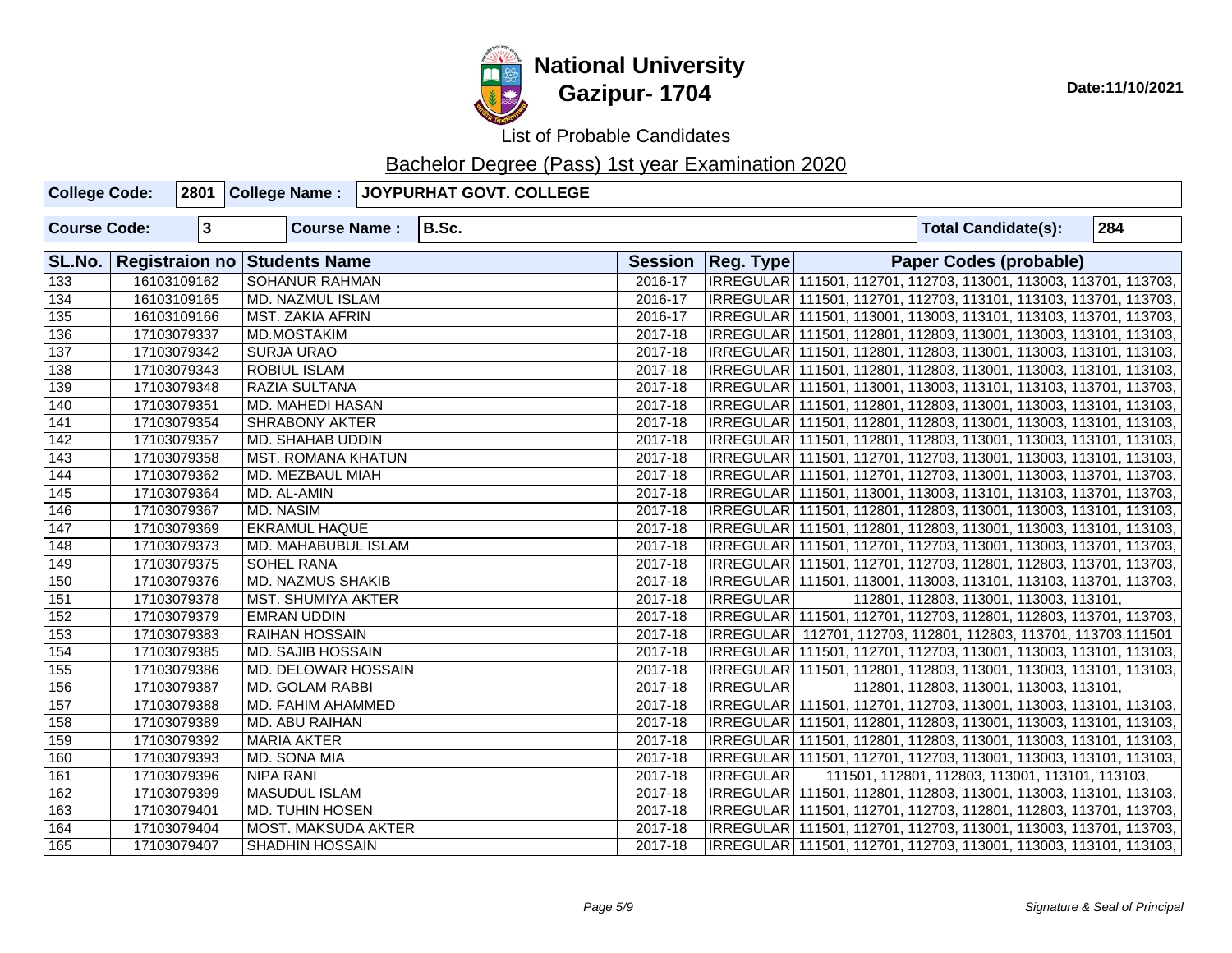

| <b>College Code:</b> |              | 2801 College Name:           | JOYPURHAT GOVT. COLLEGE |             |                     |                                                                     |     |
|----------------------|--------------|------------------------------|-------------------------|-------------|---------------------|---------------------------------------------------------------------|-----|
| <b>Course Code:</b>  | $\mathbf{3}$ | <b>Course Name:</b>          | B.Sc.                   |             |                     | <b>Total Candidate(s):</b>                                          | 284 |
| SL.No.               |              | Registraion no Students Name |                         |             | Session   Reg. Type | <b>Paper Codes (probable)</b>                                       |     |
| 133                  | 16103109162  | <b>SOHANUR RAHMAN</b>        |                         | $2016 - 17$ |                     | IRREGULAR 111501, 112701, 112703, 113001, 113003, 113701, 113703,   |     |
| $\overline{134}$     | 16103109165  | MD. NAZMUL ISLAM             |                         | 2016-17     |                     | IRREGULAR   111501, 112701, 112703, 113101, 113103, 113701, 113703, |     |
| $\overline{135}$     | 16103109166  | <b>MST. ZAKIA AFRIN</b>      |                         | 2016-17     |                     | IRREGULAR   111501, 113001, 113003, 113101, 113103, 113701, 113703, |     |
| 136                  | 17103079337  | <b>MD.MOSTAKIM</b>           |                         | 2017-18     |                     | IRREGULAR 111501, 112801, 112803, 113001, 113003, 113101, 113103,   |     |
| 137                  | 17103079342  | <b>SURJA URAO</b>            |                         | 2017-18     |                     | IRREGULAR   111501, 112801, 112803, 113001, 113003, 113101, 113103, |     |
| 138                  | 17103079343  | ROBIUL ISLAM                 |                         | 2017-18     |                     | IRREGULAR   111501, 112801, 112803, 113001, 113003, 113101, 113103, |     |
| 139                  | 17103079348  | RAZIA SULTANA                |                         | 2017-18     |                     | IRREGULAR   111501, 113001, 113003, 113101, 113103, 113701, 113703, |     |
| 140                  | 17103079351  | <b>MD. MAHEDI HASAN</b>      |                         | 2017-18     |                     | IRREGULAR 111501, 112801, 112803, 113001, 113003, 113101, 113103,   |     |
| $\overline{141}$     | 17103079354  | <b>SHRABONY AKTER</b>        |                         | 2017-18     |                     | IRREGULAR 111501, 112801, 112803, 113001, 113003, 113101, 113103,   |     |
| $\frac{142}{2}$      | 17103079357  | MD. SHAHAB UDDIN             |                         | 2017-18     |                     | IRREGULAR   111501, 112801, 112803, 113001, 113003, 113101, 113103, |     |
| 143                  | 17103079358  | <b>MST. ROMANA KHATUN</b>    |                         | 2017-18     |                     | IRREGULAR   111501, 112701, 112703, 113001, 113003, 113101, 113103, |     |
| 144                  | 17103079362  | MD. MEZBAUL MIAH             |                         | 2017-18     |                     | IRREGULAR 111501, 112701, 112703, 113001, 113003, 113701, 113703,   |     |
| 145                  | 17103079364  | MD. AL-AMIN                  |                         | 2017-18     |                     | IRREGULAR   111501, 113001, 113003, 113101, 113103, 113701, 113703, |     |
| 146                  | 17103079367  | MD. NASIM                    |                         | 2017-18     |                     | IRREGULAR   111501, 112801, 112803, 113001, 113003, 113101, 113103, |     |
| 147                  | 17103079369  | <b>EKRAMUL HAQUE</b>         |                         | 2017-18     |                     | IRREGULAR   111501, 112801, 112803, 113001, 113003, 113101, 113103, |     |
| 148                  | 17103079373  | MD. MAHABUBUL ISLAM          |                         | 2017-18     |                     | IRREGULAR  111501, 112701, 112703, 113001, 113003, 113701, 113703,  |     |
| 149                  | 17103079375  | SOHEL RANA                   |                         | 2017-18     |                     | IRREGULAR   111501, 112701, 112703, 112801, 112803, 113701, 113703, |     |
| 150                  | 17103079376  | MD. NAZMUS SHAKIB            |                         | 2017-18     |                     | IRREGULAR   111501, 113001, 113003, 113101, 113103, 113701, 113703, |     |
| 151                  | 17103079378  | MST. SHUMIYA AKTER           |                         | 2017-18     | <b>IRREGULAR</b>    | 112801, 112803, 113001, 113003, 113101,                             |     |
| 152                  | 17103079379  | <b>EMRAN UDDIN</b>           |                         | 2017-18     |                     | IRREGULAR   111501, 112701, 112703, 112801, 112803, 113701, 113703, |     |
| 153                  | 17103079383  | RAIHAN HOSSAIN               |                         | 2017-18     |                     | IRREGULAR 112701, 112703, 112801, 112803, 113701, 113703,111501     |     |
| 154                  | 17103079385  | MD. SAJIB HOSSAIN            |                         | 2017-18     |                     | IRREGULAR   111501, 112701, 112703, 113001, 113003, 113101, 113103, |     |
| 155                  | 17103079386  | MD. DELOWAR HOSSAIN          |                         | 2017-18     |                     | IRREGULAR   111501, 112801, 112803, 113001, 113003, 113101, 113103, |     |
| 156                  | 17103079387  | MD. GOLAM RABBI              |                         | 2017-18     | <b>IRREGULAR</b>    | 112801, 112803, 113001, 113003, 113101,                             |     |
| 157                  | 17103079388  | MD. FAHIM AHAMMED            |                         | 2017-18     |                     | IRREGULAR 111501, 112701, 112703, 113001, 113003, 113101, 113103,   |     |
| 158                  | 17103079389  | <b>MD. ABU RAIHAN</b>        |                         | 2017-18     |                     | IRREGULAR 111501, 112801, 112803, 113001, 113003, 113101, 113103,   |     |
| 159                  | 17103079392  | <b>MARIA AKTER</b>           |                         | 2017-18     |                     | IRREGULAR 111501, 112801, 112803, 113001, 113003, 113101, 113103,   |     |
| 160                  | 17103079393  | <b>MD. SONA MIA</b>          |                         | 2017-18     |                     | IRREGULAR   111501, 112701, 112703, 113001, 113003, 113101, 113103, |     |
| 161                  | 17103079396  | <b>NIPA RANI</b>             |                         | 2017-18     | <b>IRREGULAR</b>    | 111501, 112801, 112803, 113001, 113101, 113103,                     |     |
| 162                  | 17103079399  | <b>MASUDUL ISLAM</b>         |                         | 2017-18     |                     | IRREGULAR 111501, 112801, 112803, 113001, 113003, 113101, 113103,   |     |
| 163                  | 17103079401  | <b>MD. TUHIN HOSEN</b>       |                         | 2017-18     |                     | IRREGULAR 111501, 112701, 112703, 112801, 112803, 113701, 113703,   |     |
| 164                  | 17103079404  | MOST. MAKSUDA AKTER          |                         | 2017-18     |                     | IRREGULAR   111501, 112701, 112703, 113001, 113003, 113701, 113703, |     |
| 165                  | 17103079407  | <b>SHADHIN HOSSAIN</b>       |                         | 2017-18     |                     | IRREGULAR 111501, 112701, 112703, 113001, 113003, 113101, 113103,   |     |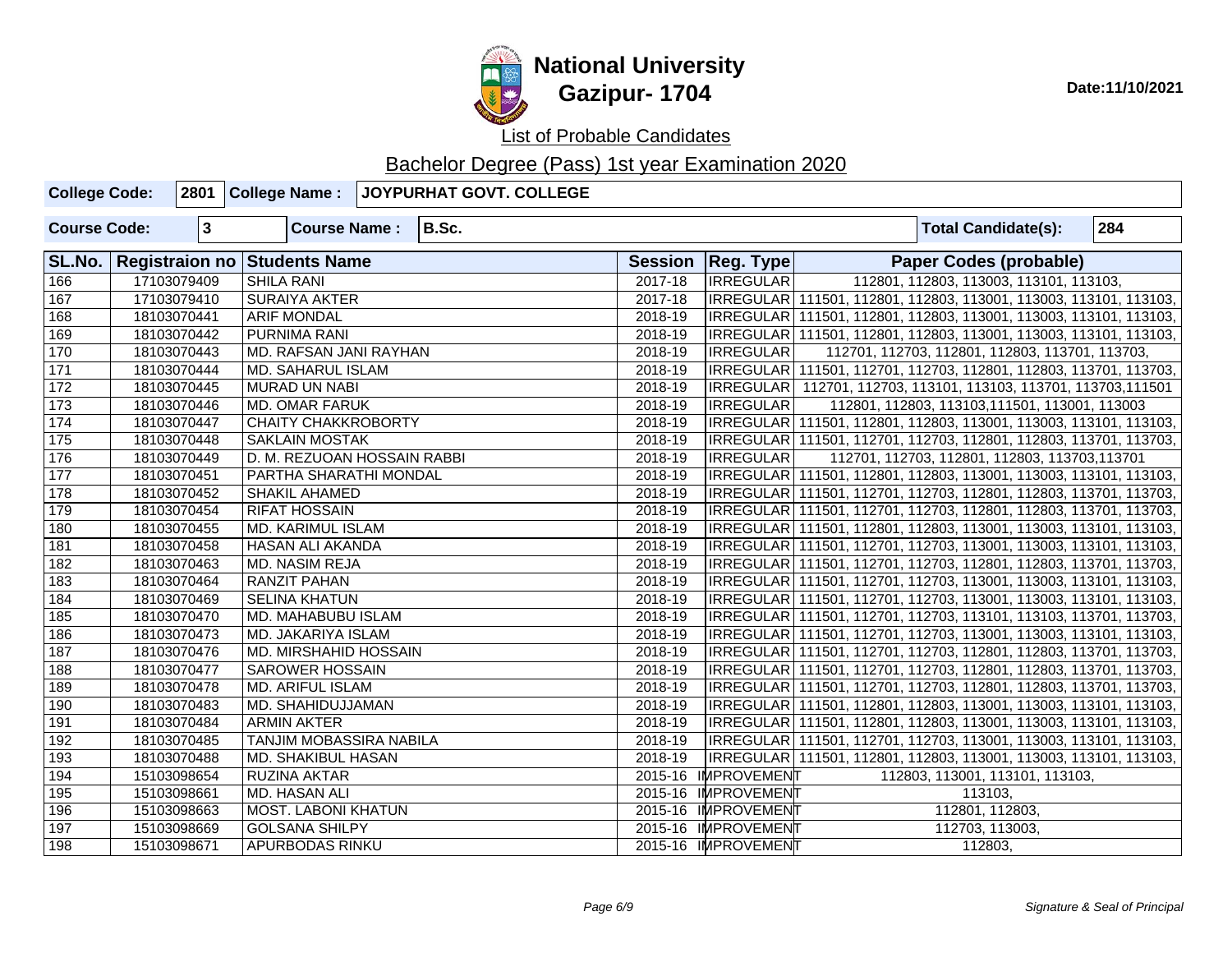

| <b>College Code:</b> |              | 2801 College Name:           |                                | JOYPURHAT GOVT. COLLEGE |         |                     |                                                                   |     |
|----------------------|--------------|------------------------------|--------------------------------|-------------------------|---------|---------------------|-------------------------------------------------------------------|-----|
| <b>Course Code:</b>  | $\mathbf{3}$ |                              | <b>Course Name:</b>            | B.Sc.                   |         |                     | <b>Total Candidate(s):</b>                                        | 284 |
| SL.No.               |              | Registraion no Students Name |                                |                         |         | Session   Reg. Type | <b>Paper Codes (probable)</b>                                     |     |
| 166                  | 17103079409  | <b>SHILA RANI</b>            |                                |                         | 2017-18 | <b>IRREGULAR</b>    | 112801, 112803, 113003, 113101, 113103,                           |     |
| 167                  | 17103079410  | <b>SURAIYA AKTER</b>         |                                |                         | 2017-18 |                     | IRREGULAR 111501, 112801, 112803, 113001, 113003, 113101, 113103, |     |
| 168                  | 18103070441  | <b>ARIF MONDAL</b>           |                                |                         | 2018-19 |                     | IRREGULAR 111501, 112801, 112803, 113001, 113003, 113101, 113103, |     |
| 169                  | 18103070442  | <b>PURNIMA RANI</b>          |                                |                         | 2018-19 |                     | IRREGULAR 111501, 112801, 112803, 113001, 113003, 113101, 113103, |     |
| 170                  | 18103070443  |                              | MD. RAFSAN JANI RAYHAN         |                         | 2018-19 | <b>IRREGULAR</b>    | 112701, 112703, 112801, 112803, 113701, 113703,                   |     |
| $\boxed{171}$        | 18103070444  | MD. SAHARUL ISLAM            |                                |                         | 2018-19 |                     | IRREGULAR 111501, 112701, 112703, 112801, 112803, 113701, 113703, |     |
| 172                  | 18103070445  | <b>MURAD UN NABI</b>         |                                |                         | 2018-19 |                     | IRREGULAR 112701, 112703, 113101, 113103, 113701, 113703, 111501  |     |
| 173                  | 18103070446  | <b>MD. OMAR FARUK</b>        |                                |                         | 2018-19 | <b>IRREGULAR</b>    | 112801, 112803, 113103, 111501, 113001, 113003                    |     |
| 174                  | 18103070447  |                              | CHAITY CHAKKROBORTY            |                         | 2018-19 |                     | IRREGULAR 111501, 112801, 112803, 113001, 113003, 113101, 113103, |     |
| 175                  | 18103070448  | <b>SAKLAIN MOSTAK</b>        |                                |                         | 2018-19 |                     | IRREGULAR 111501, 112701, 112703, 112801, 112803, 113701, 113703, |     |
| 176                  | 18103070449  |                              | D. M. REZUOAN HOSSAIN RABBI    |                         | 2018-19 | IRREGULAR           | 112701, 112703, 112801, 112803, 113703, 113701                    |     |
| 177                  | 18103070451  |                              | PARTHA SHARATHI MONDAL         |                         | 2018-19 |                     | IRREGULAR 111501, 112801, 112803, 113001, 113003, 113101, 113103, |     |
| 178                  | 18103070452  | <b>SHAKIL AHAMED</b>         |                                |                         | 2018-19 |                     | IRREGULAR 111501, 112701, 112703, 112801, 112803, 113701, 113703, |     |
| 179                  | 18103070454  | <b>RIFAT HOSSAIN</b>         |                                |                         | 2018-19 |                     | IRREGULAR 111501, 112701, 112703, 112801, 112803, 113701, 113703, |     |
| 180                  | 18103070455  | <b>MD. KARIMUL ISLAM</b>     |                                |                         | 2018-19 |                     | IRREGULAR 111501, 112801, 112803, 113001, 113003, 113101, 113103, |     |
| 181                  | 18103070458  | HASAN ALI AKANDA             |                                |                         | 2018-19 |                     | IRREGULAR 111501, 112701, 112703, 113001, 113003, 113101, 113103, |     |
| 182                  | 18103070463  | MD. NASIM REJA               |                                |                         | 2018-19 |                     | IRREGULAR 111501, 112701, 112703, 112801, 112803, 113701, 113703, |     |
| 183                  | 18103070464  | RANZIT PAHAN                 |                                |                         | 2018-19 |                     | IRREGULAR 111501, 112701, 112703, 113001, 113003, 113101, 113103, |     |
| 184                  | 18103070469  | <b>SELINA KHATUN</b>         |                                |                         | 2018-19 |                     | IRREGULAR 111501, 112701, 112703, 113001, 113003, 113101, 113103, |     |
| 185                  | 18103070470  |                              | MD. MAHABUBU ISLAM             |                         | 2018-19 |                     | IRREGULAR 111501, 112701, 112703, 113101, 113103, 113701, 113703, |     |
| 186                  | 18103070473  | MD. JAKARIYA ISLAM           |                                |                         | 2018-19 |                     | IRREGULAR 111501, 112701, 112703, 113001, 113003, 113101, 113103, |     |
| 187                  | 18103070476  |                              | <b>MD. MIRSHAHID HOSSAIN</b>   |                         | 2018-19 |                     | IRREGULAR 111501, 112701, 112703, 112801, 112803, 113701, 113703, |     |
| 188                  | 18103070477  | <b>SAROWER HOSSAIN</b>       |                                |                         | 2018-19 |                     | IRREGULAR 111501, 112701, 112703, 112801, 112803, 113701, 113703, |     |
| 189                  | 18103070478  | MD. ARIFUL ISLAM             |                                |                         | 2018-19 |                     | IRREGULAR 111501, 112701, 112703, 112801, 112803, 113701, 113703, |     |
| 190                  | 18103070483  | MD. SHAHIDUJJAMAN            |                                |                         | 2018-19 |                     | IRREGULAR 111501, 112801, 112803, 113001, 113003, 113101, 113103, |     |
| 191                  | 18103070484  | <b>ARMIN AKTER</b>           |                                |                         | 2018-19 |                     | IRREGULAR 111501, 112801, 112803, 113001, 113003, 113101, 113103, |     |
| 192                  | 18103070485  |                              | <b>TANJIM MOBASSIRA NABILA</b> |                         | 2018-19 |                     | IRREGULAR 111501, 112701, 112703, 113001, 113003, 113101, 113103, |     |
| 193                  | 18103070488  | MD. SHAKIBUL HASAN           |                                |                         | 2018-19 |                     | IRREGULAR 111501, 112801, 112803, 113001, 113003, 113101, 113103, |     |
| 194                  | 15103098654  | RUZINA AKTAR                 |                                |                         | 2015-16 | <b>IMPROVEMENT</b>  | 112803, 113001, 113101, 113103,                                   |     |
| 195                  | 15103098661  | MD. HASAN ALI                |                                |                         | 2015-16 | <b>IMPROVEMENT</b>  | 113103,                                                           |     |
| 196                  | 15103098663  |                              | l MOST. LABONI KHATUN          |                         |         | 2015-16 IMPROVEMENT | 112801, 112803,                                                   |     |
| 197                  | 15103098669  | <b>GOLSANA SHILPY</b>        |                                |                         |         | 2015-16 IMPROVEMENT | 112703, 113003,                                                   |     |
| 198                  | 15103098671  | <b>APURBODAS RINKU</b>       |                                |                         |         | 2015-16 IMPROVEMENT | 112803,                                                           |     |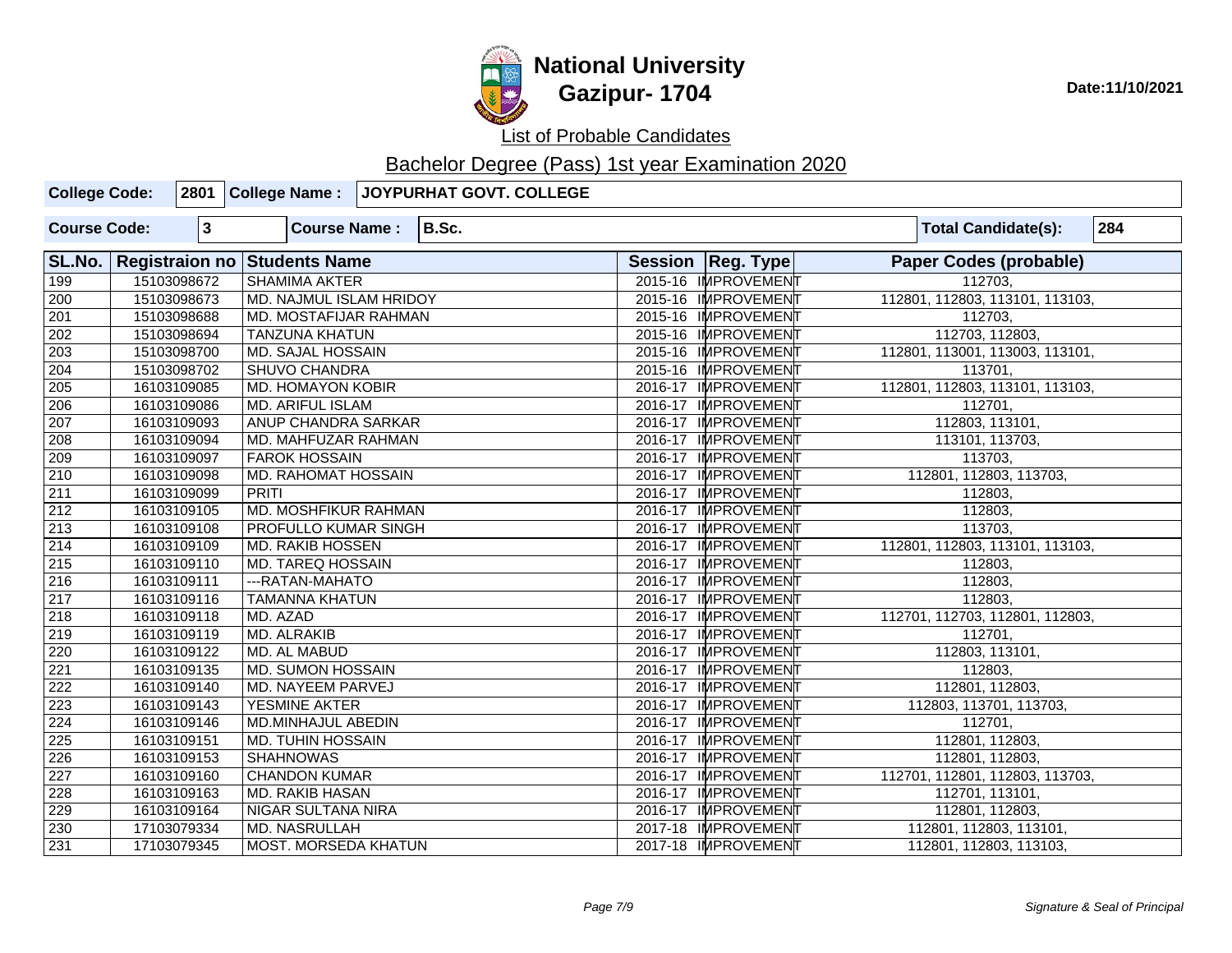

# **National University Gazipur- 1704** Date:11/10/2021

List of Probable Candidates

| <b>College Code:</b>                   |  |              |                                                                        |                              | 2801 College Name : JOYPURHAT GOVT. COLLEGE |  |                     |  |                                 |     |  |  |
|----------------------------------------|--|--------------|------------------------------------------------------------------------|------------------------------|---------------------------------------------|--|---------------------|--|---------------------------------|-----|--|--|
| <b>Course Code:</b>                    |  | $\mathbf{3}$ |                                                                        | <b>Course Name:</b>          | B.Sc.                                       |  |                     |  | <b>Total Candidate(s):</b>      | 284 |  |  |
| SL.No.<br>Registraion no Students Name |  |              |                                                                        |                              |                                             |  | Session   Reg. Type |  | <b>Paper Codes (probable)</b>   |     |  |  |
| 199                                    |  | 15103098672  | <b>SHAMIMA AKTER</b>                                                   |                              |                                             |  | 2015-16 IMPROVEMENT |  | 112703.                         |     |  |  |
| 200                                    |  | 15103098673  |                                                                        | MD. NAJMUL ISLAM HRIDOY      |                                             |  | 2015-16 IMPROVEMENT |  | 112801, 112803, 113101, 113103, |     |  |  |
| 201                                    |  | 15103098688  |                                                                        | <b>MD. MOSTAFIJAR RAHMAN</b> |                                             |  | 2015-16 IMPROVEMENT |  | 112703,                         |     |  |  |
| 202                                    |  | 15103098694  | <b>TANZUNA KHATUN</b>                                                  |                              |                                             |  | 2015-16 IMPROVEMENT |  | 112703, 112803,                 |     |  |  |
| $\overline{203}$                       |  | 15103098700  | <b>MD. SAJAL HOSSAIN</b>                                               |                              |                                             |  | 2015-16 IMPROVEMENT |  | 112801, 113001, 113003, 113101, |     |  |  |
| 204                                    |  | 15103098702  | <b>SHUVO CHANDRA</b>                                                   |                              |                                             |  | 2015-16 IMPROVEMENT |  | 113701,                         |     |  |  |
| 205                                    |  | 16103109085  |                                                                        | <b>MD. HOMAYON KOBIR</b>     |                                             |  | 2016-17 IMPROVEMENT |  | 112801, 112803, 113101, 113103, |     |  |  |
| 206                                    |  | 16103109086  | <b>MD. ARIFUL ISLAM</b>                                                |                              |                                             |  | 2016-17 IMPROVEMENT |  | 112701,                         |     |  |  |
| 207                                    |  | 16103109093  |                                                                        | ANUP CHANDRA SARKAR          |                                             |  | 2016-17 IMPROVEMENT |  | 112803, 113101,                 |     |  |  |
| 208                                    |  | 16103109094  |                                                                        | MD. MAHFUZAR RAHMAN          |                                             |  | 2016-17 IMPROVEMENT |  | 113101, 113703,                 |     |  |  |
| 209                                    |  | 16103109097  | <b>FAROK HOSSAIN</b>                                                   |                              |                                             |  | 2016-17 IMPROVEMENT |  | 113703.                         |     |  |  |
| $\overline{210}$                       |  | 16103109098  |                                                                        | MD. RAHOMAT HOSSAIN          |                                             |  | 2016-17 IMPROVEMENT |  | 112801, 112803, 113703,         |     |  |  |
| $\overline{211}$                       |  | 16103109099  | <b>PRITI</b>                                                           |                              |                                             |  | 2016-17 IMPROVEMENT |  | 112803,                         |     |  |  |
| $\overline{212}$                       |  | 16103109105  |                                                                        | MD. MOSHFIKUR RAHMAN         |                                             |  | 2016-17 IMPROVEMENT |  | 112803,                         |     |  |  |
| 213                                    |  | 16103109108  |                                                                        | PROFULLO KUMAR SINGH         |                                             |  | 2016-17 IMPROVEMENT |  | 113703,                         |     |  |  |
| $\overline{214}$                       |  | 16103109109  | MD. RAKIB HOSSEN                                                       |                              |                                             |  | 2016-17 IMPROVEMENT |  | 112801, 112803, 113101, 113103, |     |  |  |
| $\overline{215}$                       |  | 16103109110  | <b>MD. TAREQ HOSSAIN</b>                                               |                              |                                             |  | 2016-17 IMPROVEMENT |  | 112803,                         |     |  |  |
| $\overline{216}$                       |  | 16103109111  | --- RATAN-MAHATO                                                       |                              |                                             |  | 2016-17 IMPROVEMENT |  | 112803,                         |     |  |  |
| $\overline{217}$                       |  | 16103109116  | <b>TAMANNA KHATUN</b>                                                  |                              |                                             |  | 2016-17 IMPROVEMENT |  | 112803,                         |     |  |  |
| 218                                    |  | 16103109118  | MD. AZAD                                                               |                              |                                             |  | 2016-17 IMPROVEMENT |  | 112701, 112703, 112801, 112803, |     |  |  |
| $\overline{219}$                       |  | 16103109119  | <b>MD. ALRAKIB</b>                                                     |                              |                                             |  | 2016-17 IMPROVEMENT |  | 112701,                         |     |  |  |
| 220                                    |  | 16103109122  | MD. AL MABUD                                                           |                              |                                             |  | 2016-17 IMPROVEMENT |  | 112803, 113101,                 |     |  |  |
| 221                                    |  | 16103109135  |                                                                        | <b>MD. SUMON HOSSAIN</b>     |                                             |  | 2016-17 IMPROVEMENT |  | 112803,                         |     |  |  |
| 222                                    |  | 16103109140  | MD. NAYEEM PARVEJ                                                      |                              |                                             |  | 2016-17 IMPROVEMENT |  | 112801, 112803,                 |     |  |  |
| 223                                    |  | 16103109143  | YESMINE AKTER                                                          |                              |                                             |  | 2016-17 IMPROVEMENT |  | 112803, 113701, 113703,         |     |  |  |
| 224                                    |  | 16103109146  |                                                                        | <b>MD.MINHAJUL ABEDIN</b>    |                                             |  | 2016-17 IMPROVEMENT |  | 112701,                         |     |  |  |
| 225                                    |  | 16103109151  | <b>MD. TUHIN HOSSAIN</b>                                               |                              |                                             |  | 2016-17 IMPROVEMENT |  | 112801, 112803,                 |     |  |  |
| 226                                    |  | 16103109153  | <b>SHAHNOWAS</b>                                                       |                              |                                             |  | 2016-17 IMPROVEMENT |  | 112801, 112803,                 |     |  |  |
| 227                                    |  | 16103109160  | <b>CHANDON KUMAR</b>                                                   |                              |                                             |  | 2016-17 IMPROVEMENT |  | 112701, 112801, 112803, 113703, |     |  |  |
| 228                                    |  | 16103109163  | <b>MD. RAKIB HASAN</b><br>2016-17 IMPROVEMENT<br>112701, 113101,       |                              |                                             |  |                     |  |                                 |     |  |  |
| 229                                    |  | 16103109164  |                                                                        | NIGAR SULTANA NIRA           |                                             |  | 2016-17 IMPROVEMENT |  | 112801, 112803,                 |     |  |  |
| 230                                    |  | 17103079334  | 2017-18 IMPROVEMENT<br>112801, 112803, 113101,<br><b>MD. NASRULLAH</b> |                              |                                             |  |                     |  |                                 |     |  |  |
| 231                                    |  | 17103079345  |                                                                        | <b>MOST. MORSEDA KHATUN</b>  |                                             |  | 2017-18 IMPROVEMENT |  | 112801, 112803, 113103,         |     |  |  |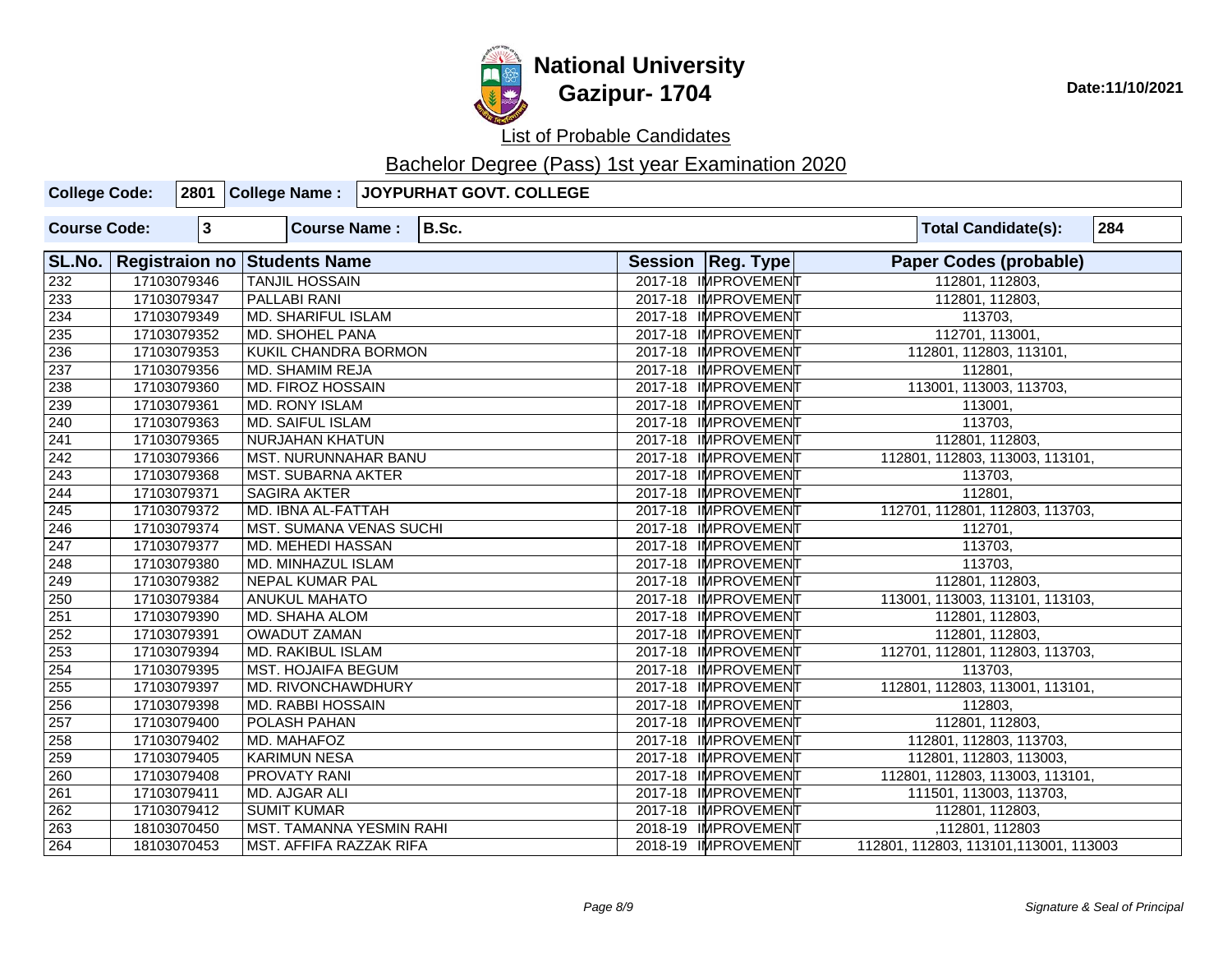

| <b>College Code:</b> |             |                                                                    |                                | 2801 College Name : JOYPURHAT GOVT. COLLEGE |  |                     |                                                        |
|----------------------|-------------|--------------------------------------------------------------------|--------------------------------|---------------------------------------------|--|---------------------|--------------------------------------------------------|
| <b>Course Code:</b>  | $\mathbf 3$ | <b>Course Name:</b>                                                |                                | B.Sc.                                       |  |                     | 284<br><b>Total Candidate(s):</b>                      |
| SL.No.               |             | Registraion no Students Name                                       |                                |                                             |  | Session   Reg. Type | <b>Paper Codes (probable)</b>                          |
| 232                  | 17103079346 |                                                                    | <b>TANJIL HOSSAIN</b>          |                                             |  |                     | 2017-18 IMPROVEMENT<br>112801, 112803,                 |
| 233                  | 17103079347 | <b>PALLABI RANI</b>                                                |                                |                                             |  | 2017-18 IMPROVEMENT | 112801, 112803,                                        |
| 234                  | 17103079349 | <b>MD. SHARIFUL ISLAM</b>                                          |                                |                                             |  | 2017-18 IMPROVEMENT | 113703,                                                |
| 235                  | 17103079352 | MD. SHOHEL PANA                                                    |                                |                                             |  | 2017-18 IMPROVEMENT | 112701, 113001,                                        |
| 236                  | 17103079353 | <b>KUKIL CHANDRA BORMON</b>                                        |                                |                                             |  | 2017-18 IMPROVEMENT | 112801, 112803, 113101,                                |
| 237                  | 17103079356 | <b>MD. SHAMIM REJA</b>                                             |                                |                                             |  | 2017-18 IMPROVEMENT | 112801,                                                |
| 238                  | 17103079360 | <b>MD. FIROZ HOSSAIN</b>                                           |                                |                                             |  | 2017-18 IMPROVEMENT | 113001, 113003, 113703,                                |
| 239                  | 17103079361 | MD. RONY ISLAM                                                     |                                |                                             |  | 2017-18 IMPROVEMENT | 113001,                                                |
| 240                  | 17103079363 | <b>MD. SAIFUL ISLAM</b>                                            |                                |                                             |  | 2017-18 IMPROVEMENT | 113703,                                                |
| 241                  | 17103079365 | NURJAHAN KHATUN                                                    |                                |                                             |  | 2017-18 IMPROVEMENT | 112801, 112803,                                        |
| 242                  | 17103079366 |                                                                    | <b>MST. NURUNNAHAR BANU</b>    |                                             |  |                     | 112801, 112803, 113003, 113101,<br>2017-18 IMPROVEMENT |
| $\overline{243}$     | 17103079368 |                                                                    | <b>MST. SUBARNA AKTER</b>      |                                             |  |                     | 113703,<br>2017-18 IMPROVEMENT                         |
| 244                  | 17103079371 |                                                                    | <b>SAGIRA AKTER</b>            |                                             |  |                     | 112801,<br>2017-18 IMPROVEMENT                         |
| 245                  | 17103079372 | MD. IBNA AL-FATTAH                                                 |                                |                                             |  | 2017-18 IMPROVEMENT | 112701, 112801, 112803, 113703,                        |
| 246                  | 17103079374 |                                                                    | <b>MST. SUMANA VENAS SUCHI</b> |                                             |  | 2017-18 IMPROVEMENT | 112701,                                                |
| $\sqrt{247}$         | 17103079377 | MD. MEHEDI HASSAN                                                  |                                |                                             |  | 2017-18 IMPROVEMENT | 113703,                                                |
| $\sqrt{248}$         | 17103079380 | MD. MINHAZUL ISLAM                                                 |                                |                                             |  | 2017-18 IMPROVEMENT | 113703,                                                |
| $\sqrt{249}$         | 17103079382 | <b>NEPAL KUMAR PAL</b>                                             |                                |                                             |  | 2017-18 IMPROVEMENT | 112801, 112803,                                        |
| 250                  | 17103079384 | <b>ANUKUL MAHATO</b>                                               |                                |                                             |  | 2017-18 IMPROVEMENT | 113001, 113003, 113101, 113103,                        |
| 251                  | 17103079390 | <b>MD. SHAHA ALOM</b>                                              |                                |                                             |  | 2017-18 IMPROVEMENT | 112801, 112803,                                        |
| 252                  | 17103079391 | <b>OWADUT ZAMAN</b>                                                |                                |                                             |  | 2017-18 IMPROVEMENT | 112801, 112803,                                        |
| 253                  | 17103079394 | MD. RAKIBUL ISLAM                                                  |                                |                                             |  | 2017-18 IMPROVEMENT | 112701, 112801, 112803, 113703,                        |
| 254                  | 17103079395 | <b>MST. HOJAIFA BEGUM</b>                                          |                                |                                             |  | 2017-18 IMPROVEMENT | 113703,                                                |
| 255                  | 17103079397 | MD. RIVONCHAWDHURY                                                 |                                |                                             |  | 2017-18 IMPROVEMENT | 112801, 112803, 113001, 113101,                        |
| 256                  | 17103079398 | <b>MD. RABBI HOSSAIN</b>                                           |                                |                                             |  | 2017-18 IMPROVEMENT | 112803,                                                |
| 257                  | 17103079400 | <b>POLASH PAHAN</b>                                                |                                |                                             |  | 2017-18 IMPROVEMENT | 112801, 112803,                                        |
| 258                  | 17103079402 | MD. MAHAFOZ                                                        |                                |                                             |  | 2017-18 IMPROVEMENT | 112801, 112803, 113703,                                |
| 259                  | 17103079405 | <b>KARIMUN NESA</b>                                                |                                |                                             |  | 2017-18 IMPROVEMENT | 112801, 112803, 113003,                                |
| 260                  | 17103079408 | <b>PROVATY RANI</b>                                                |                                |                                             |  | 2017-18 IMPROVEMENT | 112801, 112803, 113003, 113101,                        |
| 261                  | 17103079411 | MD. AJGAR ALI                                                      |                                |                                             |  | 2017-18 IMPROVEMENT | 111501, 113003, 113703,                                |
| 262                  | 17103079412 | <b>SUMIT KUMAR</b>                                                 |                                |                                             |  | 2017-18 IMPROVEMENT | 112801, 112803,                                        |
| 263                  | 18103070450 | MST. TAMANNA YESMIN RAHI<br>2018-19 IMPROVEMENT<br>,112801, 112803 |                                |                                             |  |                     |                                                        |
| 264                  | 18103070453 | MST. AFFIFA RAZZAK RIFA<br>2018-19 IMPROVEMENT                     |                                |                                             |  |                     | 112801, 112803, 113101, 113001, 113003                 |